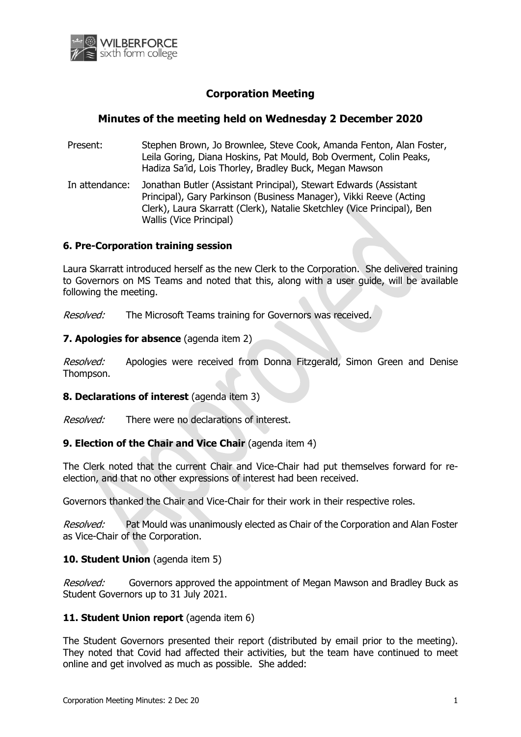

# **Corporation Meeting**

# **Minutes of the meeting held on Wednesday 2 December 2020**

- Present: Stephen Brown, Jo Brownlee, Steve Cook, Amanda Fenton, Alan Foster, Leila Goring, Diana Hoskins, Pat Mould, Bob Overment, Colin Peaks, Hadiza Sa'id, Lois Thorley, Bradley Buck, Megan Mawson
- In attendance: Jonathan Butler (Assistant Principal), Stewart Edwards (Assistant Principal), Gary Parkinson (Business Manager), Vikki Reeve (Acting Clerk), Laura Skarratt (Clerk), Natalie Sketchley (Vice Principal), Ben Wallis (Vice Principal)

## **6. Pre-Corporation training session**

Laura Skarratt introduced herself as the new Clerk to the Corporation. She delivered training to Governors on MS Teams and noted that this, along with a user guide, will be available following the meeting.

Resolved: The Microsoft Teams training for Governors was received.

#### **7. Apologies for absence** (agenda item 2)

Resolved: Apologies were received from Donna Fitzgerald, Simon Green and Denise Thompson.

#### **8. Declarations of interest** (agenda item 3)

Resolved: There were no declarations of interest.

## **9. Election of the Chair and Vice Chair** (agenda item 4)

The Clerk noted that the current Chair and Vice-Chair had put themselves forward for reelection, and that no other expressions of interest had been received.

Governors thanked the Chair and Vice-Chair for their work in their respective roles.

*Resolved:* Pat Mould was unanimously elected as Chair of the Corporation and Alan Foster as Vice-Chair of the Corporation.

#### **10. Student Union** (agenda item 5)

*Resolved:* Governors approved the appointment of Megan Mawson and Bradley Buck as Student Governors up to 31 July 2021.

### **11. Student Union report** (agenda item 6)

The Student Governors presented their report (distributed by email prior to the meeting). They noted that Covid had affected their activities, but the team have continued to meet online and get involved as much as possible. She added: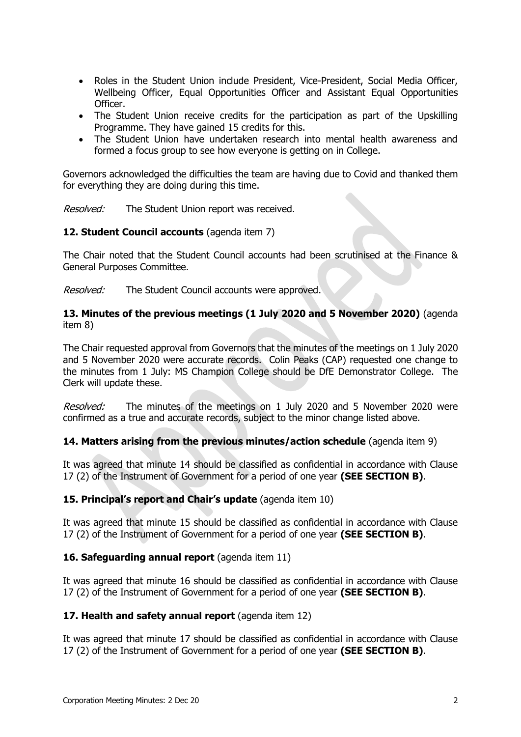- Roles in the Student Union include President, Vice-President, Social Media Officer, Wellbeing Officer, Equal Opportunities Officer and Assistant Equal Opportunities Officer.
- The Student Union receive credits for the participation as part of the Upskilling Programme. They have gained 15 credits for this.
- The Student Union have undertaken research into mental health awareness and formed a focus group to see how everyone is getting on in College.

Governors acknowledged the difficulties the team are having due to Covid and thanked them for everything they are doing during this time.

Resolved: The Student Union report was received.

## **12. Student Council accounts** (agenda item 7)

The Chair noted that the Student Council accounts had been scrutinised at the Finance & General Purposes Committee.

Resolved: The Student Council accounts were approved.

### **13. Minutes of the previous meetings (1 July 2020 and 5 November 2020)** (agenda item 8)

The Chair requested approval from Governors that the minutes of the meetings on 1 July 2020 and 5 November 2020 were accurate records. Colin Peaks (CAP) requested one change to the minutes from 1 July: MS Champion College should be DfE Demonstrator College. The Clerk will update these.

Resolved: The minutes of the meetings on 1 July 2020 and 5 November 2020 were confirmed as a true and accurate records, subject to the minor change listed above.

## **14. Matters arising from the previous minutes/action schedule** (agenda item 9)

It was agreed that minute 14 should be classified as confidential in accordance with Clause 17 (2) of the Instrument of Government for a period of one year **(SEE SECTION B)**.

## **15. Principal's report and Chair's update** (agenda item 10)

It was agreed that minute 15 should be classified as confidential in accordance with Clause 17 (2) of the Instrument of Government for a period of one year **(SEE SECTION B)**.

## **16. Safeguarding annual report** (agenda item 11)

It was agreed that minute 16 should be classified as confidential in accordance with Clause 17 (2) of the Instrument of Government for a period of one year **(SEE SECTION B)**.

#### **17. Health and safety annual report** (agenda item 12)

It was agreed that minute 17 should be classified as confidential in accordance with Clause 17 (2) of the Instrument of Government for a period of one year **(SEE SECTION B)**.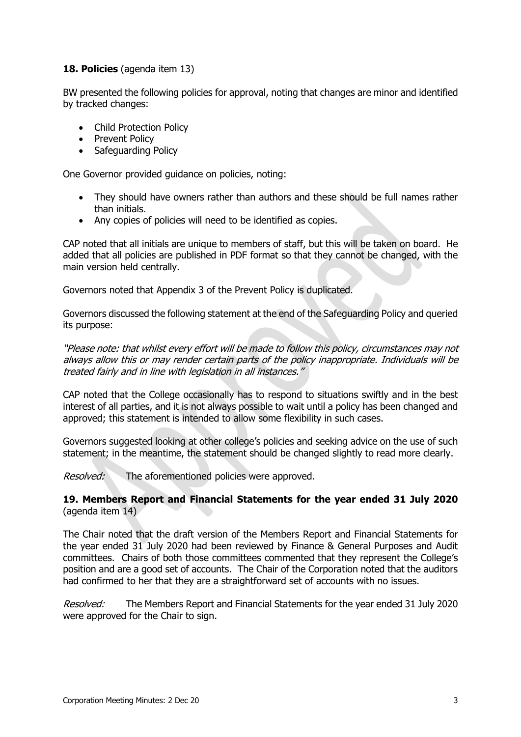## **18. Policies** (agenda item 13)

BW presented the following policies for approval, noting that changes are minor and identified by tracked changes:

- Child Protection Policy
- Prevent Policy
- Safeguarding Policy

One Governor provided guidance on policies, noting:

- They should have owners rather than authors and these should be full names rather than initials.
- Any copies of policies will need to be identified as copies.

CAP noted that all initials are unique to members of staff, but this will be taken on board. He added that all policies are published in PDF format so that they cannot be changed, with the main version held centrally.

Governors noted that Appendix 3 of the Prevent Policy is duplicated.

Governors discussed the following statement at the end of the Safeguarding Policy and queried its purpose:

"Please note: that whilst every effort will be made to follow this policy, circumstances may not always allow this or may render certain parts of the policy inappropriate. Individuals will be treated fairly and in line with legislation in all instances."

CAP noted that the College occasionally has to respond to situations swiftly and in the best interest of all parties, and it is not always possible to wait until a policy has been changed and approved; this statement is intended to allow some flexibility in such cases.

Governors suggested looking at other college's policies and seeking advice on the use of such statement; in the meantime, the statement should be changed slightly to read more clearly.

Resolved: The aforementioned policies were approved.

## **19. Members Report and Financial Statements for the year ended 31 July 2020** (agenda item 14)

The Chair noted that the draft version of the Members Report and Financial Statements for the year ended 31 July 2020 had been reviewed by Finance & General Purposes and Audit committees. Chairs of both those committees commented that they represent the College's position and are a good set of accounts. The Chair of the Corporation noted that the auditors had confirmed to her that they are a straightforward set of accounts with no issues.

Resolved: The Members Report and Financial Statements for the year ended 31 July 2020 were approved for the Chair to sign.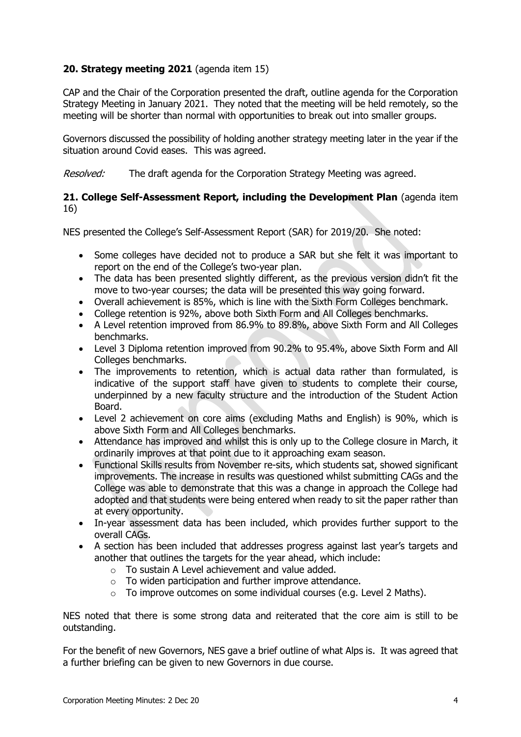# **20. Strategy meeting 2021** (agenda item 15)

CAP and the Chair of the Corporation presented the draft, outline agenda for the Corporation Strategy Meeting in January 2021. They noted that the meeting will be held remotely, so the meeting will be shorter than normal with opportunities to break out into smaller groups.

Governors discussed the possibility of holding another strategy meeting later in the year if the situation around Covid eases. This was agreed.

Resolved: The draft agenda for the Corporation Strategy Meeting was agreed.

## **21. College Self-Assessment Report, including the Development Plan** (agenda item 16)

NES presented the College's Self-Assessment Report (SAR) for 2019/20. She noted:

- Some colleges have decided not to produce a SAR but she felt it was important to report on the end of the College's two-year plan.
- The data has been presented slightly different, as the previous version didn't fit the move to two-year courses; the data will be presented this way going forward.
- Overall achievement is 85%, which is line with the Sixth Form Colleges benchmark.
- College retention is 92%, above both Sixth Form and All Colleges benchmarks.
- A Level retention improved from 86.9% to 89.8%, above Sixth Form and All Colleges benchmarks.
- Level 3 Diploma retention improved from 90.2% to 95.4%, above Sixth Form and All Colleges benchmarks.
- The improvements to retention, which is actual data rather than formulated, is indicative of the support staff have given to students to complete their course, underpinned by a new faculty structure and the introduction of the Student Action Board.
- Level 2 achievement on core aims (excluding Maths and English) is 90%, which is above Sixth Form and All Colleges benchmarks.
- Attendance has improved and whilst this is only up to the College closure in March, it ordinarily improves at that point due to it approaching exam season.
- Functional Skills results from November re-sits, which students sat, showed significant improvements. The increase in results was questioned whilst submitting CAGs and the College was able to demonstrate that this was a change in approach the College had adopted and that students were being entered when ready to sit the paper rather than at every opportunity.
- In-year assessment data has been included, which provides further support to the overall CAGs.
- A section has been included that addresses progress against last year's targets and another that outlines the targets for the year ahead, which include:
	- o To sustain A Level achievement and value added.
	- $\circ$  To widen participation and further improve attendance.
	- $\circ$  To improve outcomes on some individual courses (e.g. Level 2 Maths).

NES noted that there is some strong data and reiterated that the core aim is still to be outstanding.

For the benefit of new Governors, NES gave a brief outline of what Alps is. It was agreed that a further briefing can be given to new Governors in due course.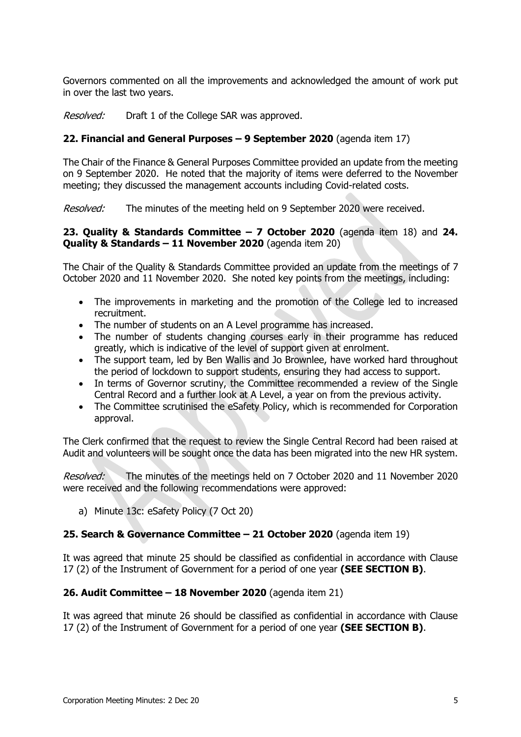Governors commented on all the improvements and acknowledged the amount of work put in over the last two years.

Resolved: Draft 1 of the College SAR was approved.

# **22. Financial and General Purposes – 9 September 2020** (agenda item 17)

The Chair of the Finance & General Purposes Committee provided an update from the meeting on 9 September 2020. He noted that the majority of items were deferred to the November meeting; they discussed the management accounts including Covid-related costs.

Resolved: The minutes of the meeting held on 9 September 2020 were received.

## **23. Quality & Standards Committee – 7 October 2020** (agenda item 18) and **24. Quality & Standards – 11 November 2020** (agenda item 20)

The Chair of the Quality & Standards Committee provided an update from the meetings of 7 October 2020 and 11 November 2020. She noted key points from the meetings, including:

- The improvements in marketing and the promotion of the College led to increased recruitment.
- The number of students on an A Level programme has increased.
- The number of students changing courses early in their programme has reduced greatly, which is indicative of the level of support given at enrolment.
- The support team, led by Ben Wallis and Jo Brownlee, have worked hard throughout the period of lockdown to support students, ensuring they had access to support.
- In terms of Governor scrutiny, the Committee recommended a review of the Single Central Record and a further look at A Level, a year on from the previous activity.
- The Committee scrutinised the eSafety Policy, which is recommended for Corporation approval.

The Clerk confirmed that the request to review the Single Central Record had been raised at Audit and volunteers will be sought once the data has been migrated into the new HR system.

Resolved: The minutes of the meetings held on 7 October 2020 and 11 November 2020 were received and the following recommendations were approved:

a) Minute 13c: eSafety Policy (7 Oct 20)

#### **25. Search & Governance Committee – 21 October 2020** (agenda item 19)

It was agreed that minute 25 should be classified as confidential in accordance with Clause 17 (2) of the Instrument of Government for a period of one year **(SEE SECTION B)**.

## **26. Audit Committee – 18 November 2020** (agenda item 21)

It was agreed that minute 26 should be classified as confidential in accordance with Clause 17 (2) of the Instrument of Government for a period of one year **(SEE SECTION B)**.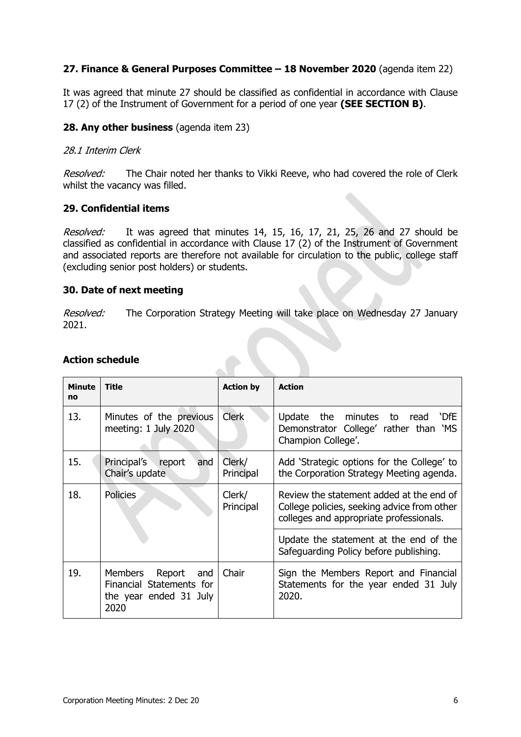# **27. Finance & General Purposes Committee – 18 November 2020** (agenda item 22)

It was agreed that minute 27 should be classified as confidential in accordance with Clause 17 (2) of the Instrument of Government for a period of one year **(SEE SECTION B)**.

### **28. Any other business** (agenda item 23)

### 28.1 Interim Clerk

Resolved: The Chair noted her thanks to Vikki Reeve, who had covered the role of Clerk whilst the vacancy was filled.

## **29. Confidential items**

Resolved: It was agreed that minutes 14, 15, 16, 17, 21, 25, 26 and 27 should be classified as confidential in accordance with Clause 17 (2) of the Instrument of Government and associated reports are therefore not available for circulation to the public, college staff (excluding senior post holders) or students.

## **30. Date of next meeting**

Resolved: The Corporation Strategy Meeting will take place on Wednesday 27 January 2021.

| <b>Minute</b><br>no | <b>Title</b>                                                                        | <b>Action by</b>    | <b>Action</b>                                                                                                                      |
|---------------------|-------------------------------------------------------------------------------------|---------------------|------------------------------------------------------------------------------------------------------------------------------------|
| 13.                 | Minutes of the previous<br>meeting: 1 July 2020                                     | <b>Clerk</b>        | Update the minutes to read<br>`DfE<br>Demonstrator College' rather than 'MS<br>Champion College'.                                  |
| 15.                 | Principal's<br>report<br>and<br>Chair's update                                      | Clerk/<br>Principal | Add 'Strategic options for the College' to<br>the Corporation Strategy Meeting agenda.                                             |
| 18.                 | <b>Policies</b>                                                                     | Clerk/<br>Principal | Review the statement added at the end of<br>College policies, seeking advice from other<br>colleges and appropriate professionals. |
|                     |                                                                                     |                     | Update the statement at the end of the<br>Safeguarding Policy before publishing.                                                   |
| 19.                 | Members<br>Report and<br>Financial Statements for<br>the year ended 31 July<br>2020 | Chair               | Sign the Members Report and Financial<br>Statements for the year ended 31 July<br>2020.                                            |

# **Action schedule**